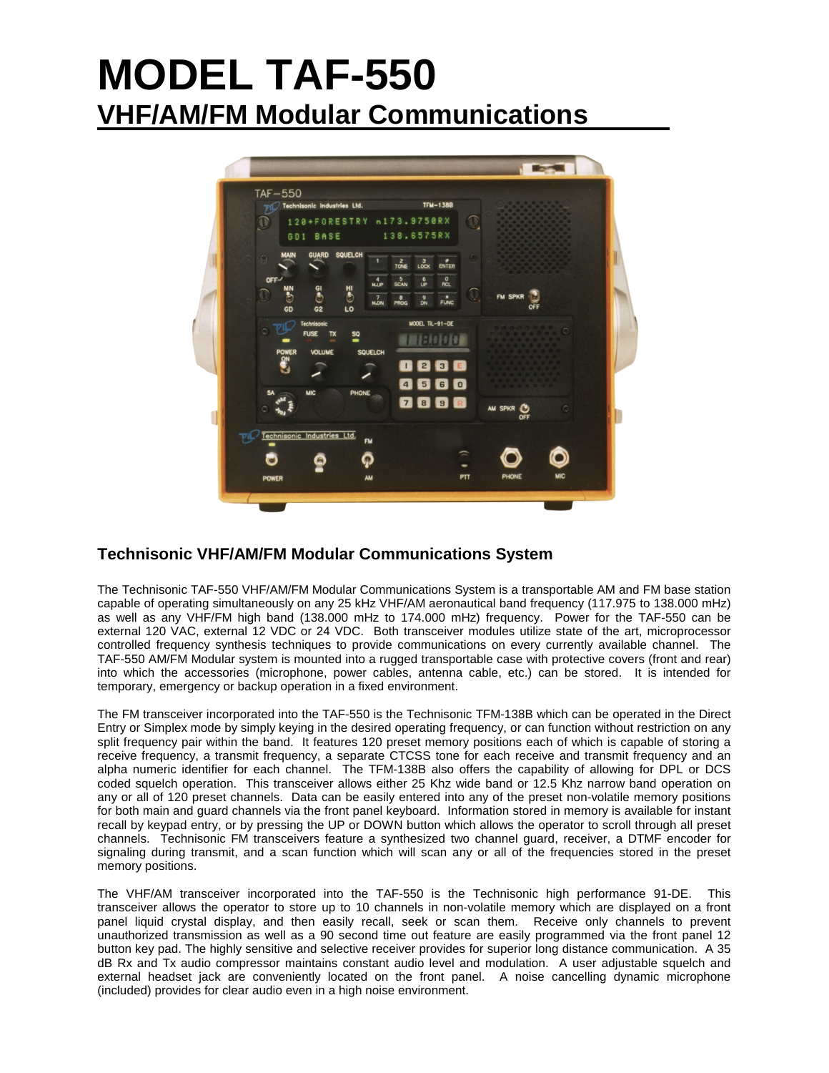# **MODEL TAF-550 VHF/AM/FM Modular Communications**



## **Technisonic VHF/AM/FM Modular Communications System**

The Technisonic TAF-550 VHF/AM/FM Modular Communications System is a transportable AM and FM base station capable of operating simultaneously on any 25 kHz VHF/AM aeronautical band frequency (117.975 to 138.000 mHz) as well as any VHF/FM high band (138.000 mHz to 174.000 mHz) frequency. Power for the TAF-550 can be external 120 VAC, external 12 VDC or 24 VDC. Both transceiver modules utilize state of the art, microprocessor controlled frequency synthesis techniques to provide communications on every currently available channel. The TAF-550 AM/FM Modular system is mounted into a rugged transportable case with protective covers (front and rear) into which the accessories (microphone, power cables, antenna cable, etc.) can be stored. It is intended for temporary, emergency or backup operation in a fixed environment.

The FM transceiver incorporated into the TAF-550 is the Technisonic TFM-138B which can be operated in the Direct Entry or Simplex mode by simply keying in the desired operating frequency, or can function without restriction on any split frequency pair within the band. It features 120 preset memory positions each of which is capable of storing a receive frequency, a transmit frequency, a separate CTCSS tone for each receive and transmit frequency and an alpha numeric identifier for each channel. The TFM-138B also offers the capability of allowing for DPL or DCS coded squelch operation. This transceiver allows either 25 Khz wide band or 12.5 Khz narrow band operation on any or all of 120 preset channels. Data can be easily entered into any of the preset non-volatile memory positions for both main and guard channels via the front panel keyboard. Information stored in memory is available for instant recall by keypad entry, or by pressing the UP or DOWN button which allows the operator to scroll through all preset channels. Technisonic FM transceivers feature a synthesized two channel guard, receiver, a DTMF encoder for signaling during transmit, and a scan function which will scan any or all of the frequencies stored in the preset memory positions.

The VHF/AM transceiver incorporated into the TAF-550 is the Technisonic high performance 91-DE. This transceiver allows the operator to store up to 10 channels in non-volatile memory which are displayed on a front panel liquid crystal display, and then easily recall, seek or scan them. Receive only channels to prevent unauthorized transmission as well as a 90 second time out feature are easily programmed via the front panel 12 button key pad. The highly sensitive and selective receiver provides for superior long distance communication. A 35 dB Rx and Tx audio compressor maintains constant audio level and modulation. A user adjustable squelch and external headset jack are conveniently located on the front panel. A noise cancelling dynamic microphone (included) provides for clear audio even in a high noise environment.